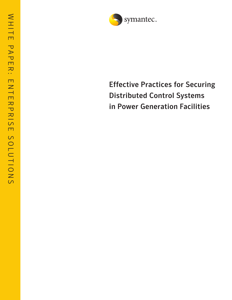

# Effective Practices for Securing Distributed Control Systems in Power Generation Facilities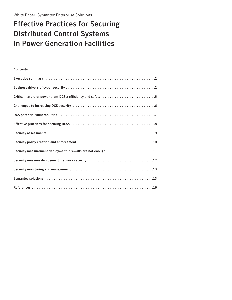## Effective Practices for Securing Distributed Control Systems in Power Generation Facilities

## **Contents**

| Executive summary (and according to the control of the state of the state of the state of the state of the state of the state of the state of the state of the state of the state of the state of the state of the state of th |
|--------------------------------------------------------------------------------------------------------------------------------------------------------------------------------------------------------------------------------|
|                                                                                                                                                                                                                                |
| Critical nature of power plant DCSs: efficiency and safety 5                                                                                                                                                                   |
|                                                                                                                                                                                                                                |
|                                                                                                                                                                                                                                |
|                                                                                                                                                                                                                                |
|                                                                                                                                                                                                                                |
|                                                                                                                                                                                                                                |
| Security measurement deployment: firewalls are not enough 11                                                                                                                                                                   |
|                                                                                                                                                                                                                                |
|                                                                                                                                                                                                                                |
|                                                                                                                                                                                                                                |
|                                                                                                                                                                                                                                |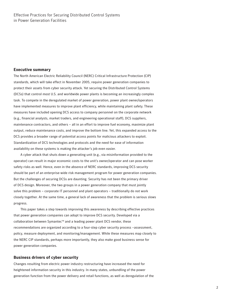#### **Executive summary**

The North American Electric Reliability Council (NERC) Critical Infrastructure Protection (CIP) standards, which will take effect in November 2005, require power generation companies to protect their assets from cyber security attack. Yet securing the Distributed Control Systems (DCSs) that control most U.S. and worldwide power plants is becoming an increasingly complex task. To compete in the deregulated market of power generation, power plant owner/operators have implemented measures to improve plant efficiency, while maintaining plant safety. These measures have included opening DCS access to company personnel on the corporate network (e.g., financial analysts, market traders, and engineering operational staff), DCS suppliers, maintenance contractors, and others – all in an effort to improve fuel economy, maximize plant output, reduce maintenance costs, and improve the bottom line. Yet, this expanded access to the DCS provides a broader range of potential access points for malicious attackers to exploit. Standardization of DCS technologies and protocols and the need for ease of information availability on these systems is making the attacker's job even easier.

A cyber attack that shuts down a generating unit (e.g., via misinformation provided to the operator) can result in major economic costs to the unit's owner/operator and can pose worker safety risks as well. Hence, even in the absence of NERC standards, improving DCS security should be part of an enterprise-wide risk management program for power generation companies. But the challenges of securing DCSs are daunting. Security has not been the primary driver of DCS design. Moreover, the two groups in a power generation company that must jointly solve this problem – corporate IT personnel and plant operators – traditionally do not work closely together. At the same time, a general lack of awareness that the problem is serious slows progress.

This paper takes a step towards improving this awareness by describing effective practices that power generation companies can adopt to improve DCS security. Developed via a collaboration between Symantec™ and a leading power plant DCS vendor, these recommendations are organized according to a four-step cyber security process –assessment, policy, measure deployment, and monitoring/management. While these measures map closely to the NERC CIP standards, perhaps more importantly, they also make good business sense for power generation companies.

## **Business drivers of cyber security**

Changes resulting from electric power industry restructuring have increased the need for heightened information security in this industry. In many states, unbundling of the power generation function from the power delivery and retail functions, as well as deregulation of the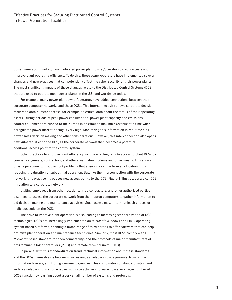power generation market, have motivated power plant owner/operators to reduce costs and improve plant operating efficiency. To do this, these owner/operators have implemented several changes and new practices that can potentially affect the cyber security of their power plants. The most significant impacts of these changes relate to the Distributed Control Systems (DCS) that are used to operate most power plants in the U.S. and worldwide today.

For example, many power plant owner/operators have added connections between their corporate computer networks and these DCSs. This interconnectivity allows corporate decision makers to obtain instant access, for example, to critical data about the status of their operating assets. During periods of peak power consumption, power plant capacity and emissions control equipment are pushed to their limits in an effort to maximize revenue at a time when deregulated power market pricing is very high. Monitoring this information in real-time aids power sales decision making and other considerations. However, this interconnection also opens new vulnerabilities to the DCS, as the corporate network then becomes a potential additional access point to the control system.

Other practices to improve plant efficiency include enabling remote access to plant DCSs by company engineers, contractors, and others via dial-in modems and other means. This allows off-site personnel to troubleshoot problems that arise in real-time from any location, thus reducing the duration of suboptimal operation. But, like the interconnection with the corporate network, this practice introduces new access points to the DCS. Figure 1 illustrates a typical DCS in relation to a corporate network.

Visiting employees from other locations, hired contractors, and other authorized parties also need to access the corporate network from their laptop computers to gather information to aid decision making and maintenance activities. Such access may, in turn, unleash viruses or malicious code on the DCS.

The drive to improve plant operation is also leading to increasing standardization of DCS technologies. DCSs are increasingly implemented on Microsoft Windows and Linux operating system-based platforms, enabling a broad range of third parties to offer software that can help optimize plant operation and maintenance techniques. Similarly, most DCSs comply with OPC (a Microsoft-based standard for open connectivity) and the protocols of major manufacturers of programmable logic controllers (PLCs) and remote terminal units (RTUs).

In parallel with this standardization trend, technical information about these standards and the DCSs themselves is becoming increasingly available in trade journals, from online information brokers, and from government agencies. This combination of standardization and widely available information enables would-be attackers to learn how a very large number of DCSs function by learning about a very small number of systems and protocols.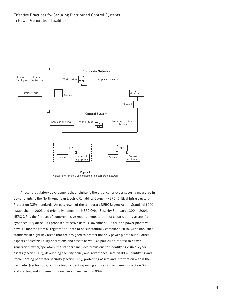<span id="page-4-0"></span>

**Figure 1** Typical Power Plant DCS connected to a corporate network

A recent regulatory development that heightens the urgency for cyber security measures in power plants is the North American Electric Reliability Council (NERC) Critical Infrastructure Protection (CIP) standards. An outgrowth of the temporary NERC Urgent Action Standard 1200 established in 2003 and originally named the NERC Cyber Security Standard 1300 in 2004, NERC CIP is the first set of comprehensive requirements to protect electric utility assets from cyber security attack. Its proposed effective date is November 1, 2005, and power plants will have 12 months from a "registration" date to be substantially compliant. NERC CIP establishes standards in eight key areas that are designed to protect not only power plants but all other aspects of electric utility operations and assets as well. Of particular interest to power generation owner/operators, the standard includes provisions for identifying critical cyber assets (section 002), developing security policy and governance (section 003), identifying and implementing perimeter security (section 005), protecting assets and information within the perimeter (section 007), conducting incident reporting and response planning (section 008), and crafting and implementing recovery plans (section 009).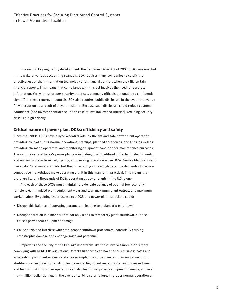In a second key regulatory development, the Sarbanes-Oxley Act of 2002 (SOX) was enacted in the wake of various accounting scandals. SOX requires many companies to certify the effectiveness of their information technology and financial controls when they file certain financial reports. This means that compliance with this act involves the need for accurate information. Yet, without proper security practices, company officials are unable to confidently sign off on these reports or controls. SOX also requires public disclosure in the event of revenue flow disruption as a result of a cyber incident. Because such disclosure could reduce customer confidence (and investor confidence, in the case of investor-owned utilities), reducing security risks is a high priority.

#### **Critical nature of power plant DCSs: efficiency and safety**

Since the 1980s, DCSs have played a central role in efficient and safe power plant operation – providing control during normal operations, startups, planned shutdowns, and trips, as well as providing alarms to operators, and monitoring equipment condition for maintenance purposes. The vast majority of today's power plants – including fossil fuel-fired units, hydroelectric units, and nuclear units in baseload, cycling, and peaking operation – use DCSs. Some older plants still use analog/pneumatic controls, but this is becoming increasingly rare; the demands of the new competitive marketplace make operating a unit in this manner impractical. This means that there are literally thousands of DCSs operating at power plants in the U.S. alone.

And each of these DCSs must maintain the delicate balance of optimal fuel economy (efficiency), minimized plant equipment wear and tear, maximum plant output, and maximum worker safety. By gaining cyber access to a DCS at a power plant, attackers could:

- Disrupt this balance of operating parameters, leading to a plant trip (shutdown)
- Disrupt operation in a manner that not only leads to temporary plant shutdown, but also causes permanent equipment damage
- Cause a trip and interfere with safe, proper shutdown procedures, potentially causing catastrophic damage and endangering plant personnel

Improving the security of the DCS against attacks like these involves more than simply complying with NERC CIP regulations. Attacks like these can have serious business costs and adversely impact plant worker safety. For example, the consequences of an unplanned unit shutdown can include high costs in lost revenue, high plant restart costs, and increased wear and tear on units. Improper operation can also lead to very costly equipment damage, and even multi-million dollar damage in the event of turbine rotor failure. Improper normal operation or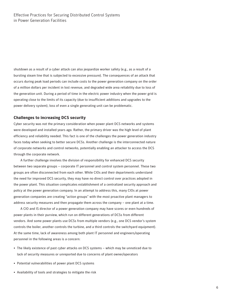shutdown as a result of a cyber attack can also jeopardize worker safety (e.g., as a result of a bursting steam line that is subjected to excessive pressure). The consequences of an attack that occurs during peak load periods can include costs to the power generation company on the order of a million dollars per incident in lost revenue, and degraded wide area reliability due to loss of the generation unit. During a period of time in the electric power industry when the power grid is operating close to the limits of its capacity (due to insufficient additions and upgrades to the power delivery system), loss of even a single generating unit can be problematic.

#### **Challenges to increasing DCS security**

Cyber security was not the primary consideration when power plant DCS networks and systems were developed and installed years ago. Rather, the primary driver was the high level of plant efficiency and reliability needed. This fact is one of the challenges the power generation industry faces today when seeking to better secure DCSs. Another challenge is the interconnected nature of corporate networks and control networks, potentially enabling an attacker to access the DCS through the corporate network.

A further challenge involves the division of responsibility for enhanced DCS security between two separate groups – corporate IT personnel and control system personnel. These two groups are often disconnected from each other. While CIOs and their departments understand the need for improved DCS security, they may have no direct control over practices adopted in the power plant. This situation complicates establishment of a centralized security approach and policy at the power generation company. In an attempt to address this, many CIOs at power generation companies are creating "action groups" with the most proactive plant managers to address security measures and then propagate them across the company – one plant at a time.

A CIO and IS director of a power generation company may have scores or even hundreds of power plants in their purview, which run on different generations of DCSs from different vendors. And some power plants use DCSs from multiple vendors (e.g., one DCS vendor's system controls the boiler, another controls the turbine, and a third controls the switchyard equipment). At the same time, lack of awareness among both plant IT personnel and engineers/operating personnel in the following areas is a concern:

- The likely existence of past cyber attacks on DCS systems which may be unnoticed due to lack of security measures or unreported due to concerns of plant owner/operators
- Potential vulnerabilities of power plant DCS systems
- Availability of tools and strategies to mitigate the risk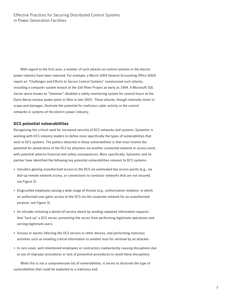With regard to the first area, a number of such attacks on control systems in the electric power industry have been reported. For example, a March 2004 General Accounting Office (GAO) report on "Challenges and Efforts to Secure Control Systems" summarized such attacks, including a computer system breach at the Salt River Project as early as 1994. A Microsoft SQL Server worm known as "Slammer" disabled a safety monitoring system for several hours at the Davis-Besse nuclear power plant in Ohio in late 2003<sup>1</sup>. These attacks, though relatively minor in scope and damages, illustrate the potential for malicious cyber activity in the control networks or systems of the electric power industry.

#### **DCS potential vulnerabilities**

Recognizing the critical need for increased security of DCS networks and systems, Symantec is working with DCS industry leaders to define more specifically the types of vulnerabilities that exist in DCS systems. The pattern detected in these vulnerabilities is that most involve the potential for penetration of the DCS by attackers via another connected network or access point, with potential adverse financial and safety consequences. More specifically, Symantec and its partner have identified the following key potential vulnerabilities relevant to DCS systems:

- Intruders gaining unauthorized access to the DCS via overlooked key access points (e.g., via dial-up remote network access, or connections to contactor networks that are not secured, see Figure 2).
- Disgruntled employees posing a wide range of threats (e.g., authorization violation, in which an authorized user gains access to the DCS via the corporate network for an unauthorized purpose, see Figure 3).
- An intruder initiating a denial-of-service attack by sending repeated information requests that "lock up" a DCS server, preventing the server from performing legitimate operations and serving legitimate users.
- Viruses or worms infecting the DCS servers or other devices, and performing malicious activities such as emailing critical information to another host for retrieval by an attacker.
- In rare cases, well-intentioned employees or contractors inadvertently causing disruptions due to use of improper procedures or lack of preventive procedures to avoid these disruptions.

While this is not a comprehensive list of vulnerabilities, it serves to illustrate the type of vulnerabilities that could be exploited to a malicious end.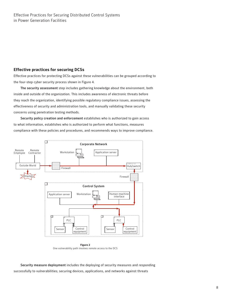## **Effective practices for securing DCSs**

Effective practices for protecting DCSs against these vulnerabilities can be grouped according to the four-step cyber security process shown in Figure 4.

The security assessment step includes gathering knowledge about the environment, both inside and outside of the organization. This includes awareness of electronic threats before they reach the organization, identifying possible regulatory compliance issues, assessing the effectiveness of security and administration tools, and manually validating these security concerns using penetration testing methods.

Security policy creation and enforcement establishes who is authorized to gain access to what information, establishes who is authorized to perform what functions, measures compliance with these policies and procedures, and recommends ways to improve compliance.



**Figure 2** One vulnerability path involves remote access to the DCS

Security measure deployment includes the deploying of security measures and responding successfully to vulnerabilities; securing devices, applications, and networks against threats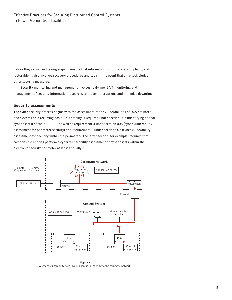before they occur; and taking steps to ensure that information is up-to-date, compliant, and restorable. It also involves recovery procedures and tools in the event that an attack eludes other security measures.

Security monitoring and management involves real-time, 24/7 monitoring and management of security information resources to prevent disruptions and minimize downtime.

#### **Security assessments**

The cyber security process begins with the assessment of the vulnerabilities of DCS networks and systems on a recurring basis. This activity is required under section 002 (identifying critical cyber assets) of the NERC CIP, as well as requirement 4 under section 005 (cyber vulnerability assessment for perimeter security) and requirement 9 under section 007 (cyber vulnerability assessment for security within the perimeter). The latter section, for example, requires that "responsible entities perform a cyber vulnerability assessment of cyber assets within the electronic security perimeter at least annually<sup>2</sup>."



**Figure 3** A second vulnerability path involves access to the DCS via the corporate network.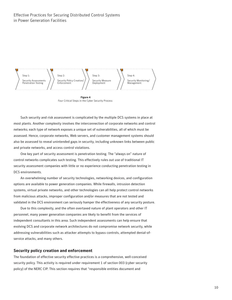

**Figure 4** Four Critical Steps in the Cyber Security Process

Such security and risk assessment is complicated by the multiple DCS systems in place at most plants. Another complexity involves the interconnection of corporate networks and control networks; each type of network exposes a unique set of vulnerabilities, all of which must be assessed. Hence, corporate networks, Web servers, and customer management systems should also be assessed to reveal unintended gaps in security, including unknown links between public and private networks, and access control violations.

One key part of security assessment is penetration testing. The "always on" nature of control networks complicates such testing. This effectively rules out use of traditional IT security assessment companies with little or no experience conducting penetration testing in DCS environments.

An overwhelming number of security technologies, networking devices, and configuration options are available to power generation companies. While firewalls, intrusion detection systems, virtual private networks, and other technologies can all help protect control networks from malicious attacks, improper configuration and/or measures that are not tested and validated in the DCS environment can seriously hamper the effectiveness of any security posture.

Due to this complexity, and the often overtaxed nature of plant operators and other IT personnel, many power generation companies are likely to benefit from the services of independent consultants in this area. Such independent assessments can help ensure that evolving DCS and corporate network architectures do not compromise network security, while addressing vulnerabilities such as attacker attempts to bypass controls, attempted denial-ofservice attacks, and many others.

## **Security policy creation and enforcement**

The foundation of effective security effective practices is a comprehensive, well-conceived security policy. This activity is required under requirement 1 of section 003 (cyber security policy) of the NERC CIP. This section requires that "responsible entities document and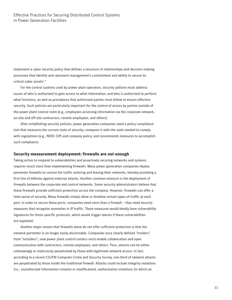implement a cyber security policy that defines a structure of relationships and decision-making processes that identify and represent management's commitment and ability to secure its critical cyber assets<sup>2</sup>."

For the control systems used by power plant operators, security policies must address issues of who is authorized to gain access to what information, and who is authorized to perform what functions, as well as procedures that authorized parties must follow to ensure effective security. Such policies are particularly important for the control of access by parties outside of the power plant control room (e.g., employees accessing information via the corporate network, on-site and off-site contractors, remote employees, and others).

After establishing security policies, power generation companies need a policy compliance tool that measures the current state of security, compares it with the state needed to comply with regulations (e.g., NERC CIP) and company policy, and recommends measures to accomplish such compliance.

#### **Security measurement deployment: firewalls are not enough**

Taking action to respond to vulnerabilities and proactively securing networks and systems requires much more than implementing firewalls. Many power generation companies deploy perimeter firewalls to control the traffic entering and leaving their networks, thereby providing a first line of defense against external attacks. Another common measure is the deployment of firewalls between the corporate and control networks. Some security administrators believe that these firewalls provide sufficient protection across the company. However, firewalls can offer a false sense of security. Many firewalls simply allow or disallow certain types of traffic at each port. In order to secure these ports, companies need more than a firewall – they need security measures that recognize anomalies in IP traffic. These measures would ideally have vulnerability signatures for these specific protocols, which would trigger alarms if these vulnerabilities are exploited.

Another major reason that firewalls alone do not offer sufficient protection is that the network perimeter is no longer easily discernable. Companies once clearly defined "insiders" from "outsiders"; now power plant control centers must enable collaboration and open communication with contractors, remote employees, and others. Thus, attacks can be either unknowingly or maliciously perpetrated by those with legitimate network access. In fact, according to a recent CSI/FBI Computer Crime and Security Survey, one-third of network attacks are perpetrated by those inside the traditional firewall. Attacks could include integrity violations (i.e., unauthorized information creation or modification), authorization violations (in which an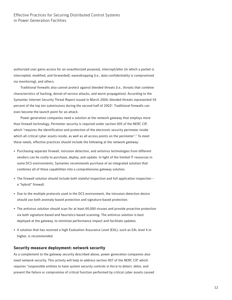authorized user gains access for an unauthorized purpose), intercept/alter (in which a packet is intercepted, modified, and forwarded), eavesdropping (i.e., data confidentiality is compromised via monitoring), and others.

Traditional firewalls also cannot protect against blended threats (i.e., threats that combine characteristics of hacking, denial-of-service attacks, and worm propagation). According to the Symantec Internet Security Threat Report issued in March 2004, blended threats represented 54 percent of the top ten submissions during the second half of 2003<sup>3</sup>. Traditional firewalls can even become the launch point for an attack.

Power generation companies need a solution at the network gateway that employs more than firewall technology. Perimeter security is required under section 005 of the NERC CIP, which "requires the identification and protection of the electronic security perimeter inside which all critical cyber assets reside, as well as all access points on the perimeter $^{\rm 2. r}$  To meet these needs, effective practices should include the following at the network gateway:

- Purchasing separate firewall, intrusion detection, and antivirus technologies from different vendors can be costly to purchase, deploy, and update. In light of the limited IT resources in some DCS environments, Symantec recommends purchase of an integrated solution that combines all of these capabilities into a comprehensive gateway solution.
- The firewall solution should include both stateful inspection and full application inspection a "hybrid" firewall.
- Due to the multiple protocols used in the DCS environment, the intrusion detection device should use both anomaly-based protection and signature-based protection.
- The antivirus solution should scan for at least 60,000 viruses and provide proactive protection via both signature-based and heuristics-based scanning. The antivirus solution is best deployed at the gateway, to minimize performance impact and facilitate updates.
- A solution that has received a high Evaluation Assurance Level (EAL), such as EAL level 4 or higher, is recommended.

#### **Security measure deployment: network security**

As a complement to the gateway security described above, power generation companies also need network security. This activity will help to address section 007 of the NERC CIP, which requires "responsible entities to have system security controls in force to detect, deter, and prevent the failure or compromise of critical function performed by critical cyber assets caused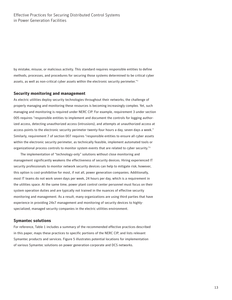by mistake, misuse, or malicious activity. This standard requires responsible entities to define methods, processes, and procedures for securing those systems determined to be critical cyber assets, as well as non-critical cyber assets within the electronic security perimeter."<sup>2</sup>

## **Security monitoring and management**

As electric utilities deploy security technologies throughout their networks, the challenge of properly managing and monitoring these resources is becoming increasingly complex. Yet, such managing and monitoring is required under NERC CIP. For example, requirement 3 under section 005 requires "responsible entities to implement and document the controls for logging authorized access, detecting unauthorized access (intrusions), and attempts at unauthorized access at access points to the electronic security perimeter twenty-four hours a day, seven days a week." Similarly, requirement 7 of section 007 requires "responsible entities to ensure all cyber assets within the electronic security perimeter, as technically feasible, implement automated tools or organizational process controls to monitor system events that are related to cyber security."<sup>2</sup>

The implementation of "technology-only" solutions without close monitoring and management significantly weakens the effectiveness of security devices. Hiring experienced IT security professionals to monitor network security devices can help to mitigate risk; however, this option is cost-prohibitive for most, if not all, power generation companies. Additionally, most IT teams do not work seven days per week, 24 hours per day, which is a requirement in the utilities space. At the same time, power plant control center personnel must focus on their system operation duties and are typically not trained in the nuances of effective security monitoring and management. As a result, many organizations are using third parties that have experience in providing 24x7 management and monitoring of security devices to highlyspecialized, managed security companies in the electric utilities environment.

## **Symantec solutions**

For reference, Table 1 includes a summary of the recommended effective practices described in this paper, maps these practices to specific portions of the NERC CIP, and lists relevant Symantec products and services. Figure 5 illustrates potential locations for implementation of various Symantec solutions on power generation corporate and DCS networks.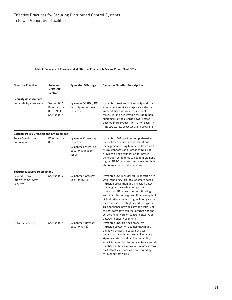#### **Table 1. Summary of Recommended Effective Practices to Secure Power Plant DCSs**

| <b>Effective Practice</b>                                         | <b>Relevant</b><br><b>NERC CIP</b><br><b>Section</b>       | <b>Symantec Offerings</b>                                                                                 | <b>Symantec Solution Description</b>                                                                                                                                                                                                                                                                                                                                                                                                                                                                                           |
|-------------------------------------------------------------------|------------------------------------------------------------|-----------------------------------------------------------------------------------------------------------|--------------------------------------------------------------------------------------------------------------------------------------------------------------------------------------------------------------------------------------------------------------------------------------------------------------------------------------------------------------------------------------------------------------------------------------------------------------------------------------------------------------------------------|
| <b>Security Assessments</b>                                       |                                                            |                                                                                                           |                                                                                                                                                                                                                                                                                                                                                                                                                                                                                                                                |
| <b>Vulnerability Assessment</b>                                   | Section 002;<br>R4 of Section<br>005; R9 of<br>Section 007 | Symantec SCADA / DCS<br><b>Security Assessment</b><br><b>Services</b>                                     | Symantec provides DCS security and risk<br>assessment services, corporate network<br>vulnerability assessments, incident<br>forensics, and penetration testing to help<br>customers in the electric power sector<br>develop more robust information security<br>infrastructures, processes, and programs.                                                                                                                                                                                                                      |
| <b>Security Policy Creation and Enforcement</b>                   |                                                            |                                                                                                           |                                                                                                                                                                                                                                                                                                                                                                                                                                                                                                                                |
| <b>Policy Creation and</b><br>Enforcement                         | R1 of Section<br>003                                       | <b>Symantec Consulting</b><br><b>Services</b><br><b>Symantec Enterprise</b><br>Security Manager™<br>(ESM) | Symantec ESM provides comprehensive,<br>policy-based security assessment and<br>management. Using templates based on the<br>NERC standards and Sarbanes-Oxley, it<br>provides a solid foundation for power<br>generation companies to begin implement-<br>ing the NERC standards and measure their<br>ability to adhere to the standards.                                                                                                                                                                                      |
| <b>Security Measure Deployment</b>                                |                                                            |                                                                                                           |                                                                                                                                                                                                                                                                                                                                                                                                                                                                                                                                |
| <b>Beyond Firewalls:</b><br><b>Integrated Gateway</b><br>Security | Section 005                                                | Symantec™ Gateway<br>Security (SGS)                                                                       | Symantec SGS includes full-inspection fire-<br>wall technology, protocol anomaly-based<br>intrusion prevention and intrusion detec-<br>tion engines, award-winning virus<br>protection, URL-based content filtering,<br>anti-spam technology, and IPSec-compliant<br>virtual private networking technology with<br>hardware-assisted high-speed encryption.<br>This appliance provides strong security at<br>the gateway between the Internet and the<br>corporate network or control network, or<br>between network segments. |
| <b>Network Security</b>                                           | Section 007                                                | Symantec™ Network<br>Security (SNS)                                                                       | Symantec SNS provides proactive<br>intrusion protection against known and<br>unknown attacks to secure critical<br>networks. It combines protocol anomaly,<br>signature, statistical, and vulnerability<br>attack interception techniques to accurately<br>identify and block known or unknown (zero-<br>day) attacks and worms from spreading<br>throughout networks.                                                                                                                                                         |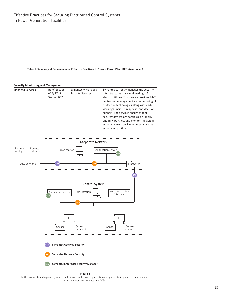#### <span id="page-15-0"></span>**Table 1. Summary of Recommended Effective Practices to Secure Power Plant DCSs (continued)**



In this conceptual diagram, Symantec solutions enable power generation companies to implement recommended effective practices for securing DCSs.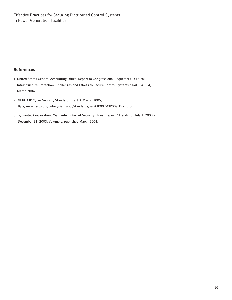## **References**

- 1) United States General Accounting Office, Report to Congressional Requesters, "Critical Infrastructure Protection, Challenges and Efforts to Secure Control Systems," GAO-04-354, March 2004.
- 2) NERC CIP Cyber Security Standard, Draft 3: May 9, 2005, ftp://www.nerc.com/pub/sys/all\_updl/standards/sar/CIP002-CIP009\_Draft3.pdf.
- 3) Symantec Corporation, "Symantec Internet Security Threat Report," Trends for July 1, 2003 December 31, 2003, Volume V, published March 2004.